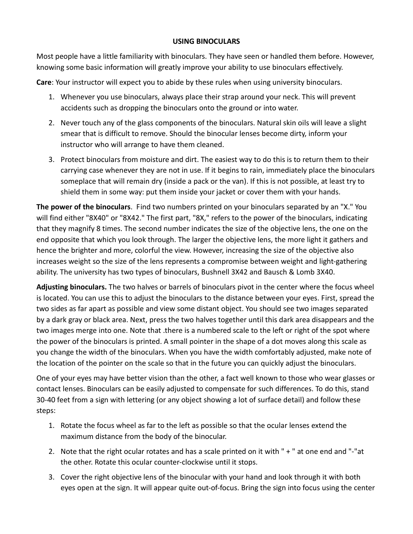## **USING BINOCULARS**

Most people have a little familiarity with binoculars. They have seen or handled them before. However, knowing some basic information will greatly improve your ability to use binoculars effectively.

**Care**: Your instructor will expect you to abide by these rules when using university binoculars.

- 1. Whenever you use binoculars, always place their strap around your neck. This will prevent accidents such as dropping the binoculars onto the ground or into water.
- 2. Never touch any of the glass components of the binoculars. Natural skin oils will leave a slight smear that is difficult to remove. Should the binocular lenses become dirty, inform your instructor who will arrange to have them cleaned.
- 3. Protect binoculars from moisture and dirt. The easiest way to do this is to return them to their carrying case whenever they are not in use. If it begins to rain, immediately place the binoculars someplace that will remain dry (inside a pack or the van). If this is not possible, at least try to shield them in some way: put them inside your jacket or cover them with your hands.

**The power of the binoculars**. Find two numbers printed on your binoculars separated by an "X." You will find either "8X40" or "8X42." The first part, "8X," refers to the power of the binoculars, indicating that they magnify 8 times. The second number indicates the size of the objective lens, the one on the end opposite that which you look through. The larger the objective lens, the more light it gathers and hence the brighter and more, colorful the view. However, increasing the size of the objective also increases weight so the size of the lens represents a compromise between weight and light-gathering ability. The university has two types of binoculars, Bushnell 3X42 and Bausch & Lomb 3X40.

**Adjusting binoculars.** The two halves or barrels of binoculars pivot in the center where the focus wheel is located. You can use this to adjust the binoculars to the distance between your eyes. First, spread the two sides as far apart as possible and view some distant object. You should see two images separated by a dark gray or black area. Next, press the two halves together until this dark area disappears and the two images merge into one. Note that .there is a numbered scale to the left or right of the spot where the power of the binoculars is printed. A small pointer in the shape of a dot moves along this scale as you change the width of the binoculars. When you have the width comfortably adjusted, make note of the location of the pointer on the scale so that in the future you can quickly adjust the binoculars.

One of your eyes may have better vision than the other, a fact well known to those who wear glasses or contact lenses. Binoculars can be easily adjusted to compensate for such differences. To do this, stand 30-40 feet from a sign with lettering (or any object showing a lot of surface detail) and follow these steps:

- 1. Rotate the focus wheel as far to the left as possible so that the ocular lenses extend the maximum distance from the body of the binocular.
- 2. Note that the right ocular rotates and has a scale printed on it with " + " at one end and "-"at the other. Rotate this ocular counter-clockwise until it stops.
- 3. Cover the right objective lens of the binocular with your hand and look through it with both eyes open at the sign. It will appear quite out-of-focus. Bring the sign into focus using the center